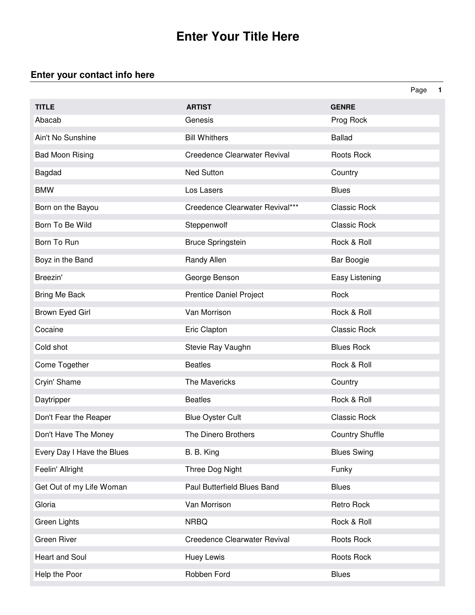## **Enter Your Title Here**

## **Enter your contact info here**

|                            |                                     |                        | Page | $\blacksquare$ |
|----------------------------|-------------------------------------|------------------------|------|----------------|
| <b>TITLE</b>               | <b>ARTIST</b>                       | <b>GENRE</b>           |      |                |
| Abacab                     | Genesis                             | Prog Rock              |      |                |
| Ain't No Sunshine          | <b>Bill Whithers</b>                | <b>Ballad</b>          |      |                |
| <b>Bad Moon Rising</b>     | <b>Creedence Clearwater Revival</b> | Roots Rock             |      |                |
| Bagdad                     | <b>Ned Sutton</b>                   | Country                |      |                |
| <b>BMW</b>                 | Los Lasers                          | <b>Blues</b>           |      |                |
| Born on the Bayou          | Creedence Clearwater Revival***     | <b>Classic Rock</b>    |      |                |
| Born To Be Wild            | Steppenwolf                         | <b>Classic Rock</b>    |      |                |
| Born To Run                | <b>Bruce Springstein</b>            | Rock & Roll            |      |                |
| Boyz in the Band           | Randy Allen                         | Bar Boogie             |      |                |
| Breezin'                   | George Benson                       | Easy Listening         |      |                |
| Bring Me Back              | Prentice Daniel Project             | Rock                   |      |                |
| Brown Eyed Girl            | Van Morrison                        | Rock & Roll            |      |                |
| Cocaine                    | Eric Clapton                        | <b>Classic Rock</b>    |      |                |
| Cold shot                  | Stevie Ray Vaughn                   | <b>Blues Rock</b>      |      |                |
| Come Together              | <b>Beatles</b>                      | Rock & Roll            |      |                |
| Cryin' Shame               | The Mavericks                       | Country                |      |                |
| Daytripper                 | <b>Beatles</b>                      | Rock & Roll            |      |                |
| Don't Fear the Reaper      | <b>Blue Oyster Cult</b>             | <b>Classic Rock</b>    |      |                |
| Don't Have The Money       | The Dinero Brothers                 | <b>Country Shuffle</b> |      |                |
| Every Day I Have the Blues | B. B. King                          | <b>Blues Swing</b>     |      |                |
| Feelin' Allright           | Three Dog Night                     | Funky                  |      |                |
| Get Out of my Life Woman   | Paul Butterfield Blues Band         | <b>Blues</b>           |      |                |
| Gloria                     | Van Morrison                        | Retro Rock             |      |                |
| Green Lights               | <b>NRBQ</b>                         | Rock & Roll            |      |                |
| <b>Green River</b>         | Creedence Clearwater Revival        | Roots Rock             |      |                |
| Heart and Soul             | Huey Lewis                          | Roots Rock             |      |                |
| Help the Poor              | Robben Ford                         | <b>Blues</b>           |      |                |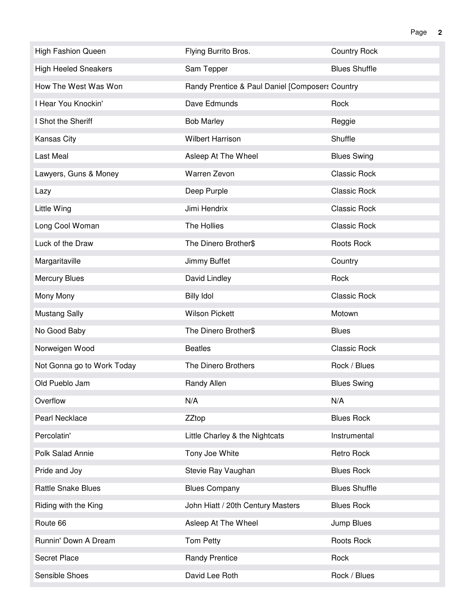| <b>High Fashion Queen</b>   | Flying Burrito Bros.                            | <b>Country Rock</b>  |
|-----------------------------|-------------------------------------------------|----------------------|
| <b>High Heeled Sneakers</b> | Sam Tepper                                      | <b>Blues Shuffle</b> |
| How The West Was Won        | Randy Prentice & Paul Daniel [Composers Country |                      |
| I Hear You Knockin'         | Dave Edmunds                                    | Rock                 |
| I Shot the Sheriff          | <b>Bob Marley</b>                               | Reggie               |
| Kansas City                 | <b>Wilbert Harrison</b>                         | Shuffle              |
| Last Meal                   | Asleep At The Wheel                             | <b>Blues Swing</b>   |
| Lawyers, Guns & Money       | Warren Zevon                                    | <b>Classic Rock</b>  |
| Lazy                        | Deep Purple                                     | <b>Classic Rock</b>  |
| Little Wing                 | Jimi Hendrix                                    | <b>Classic Rock</b>  |
| Long Cool Woman             | The Hollies                                     | <b>Classic Rock</b>  |
| Luck of the Draw            | The Dinero Brother\$                            | Roots Rock           |
| Margaritaville              | Jimmy Buffet                                    | Country              |
| <b>Mercury Blues</b>        | David Lindley                                   | Rock                 |
| Mony Mony                   | <b>Billy Idol</b>                               | <b>Classic Rock</b>  |
| <b>Mustang Sally</b>        | <b>Wilson Pickett</b>                           | Motown               |
| No Good Baby                | The Dinero Brother\$                            | <b>Blues</b>         |
| Norweigen Wood              | <b>Beatles</b>                                  | <b>Classic Rock</b>  |
| Not Gonna go to Work Today  | The Dinero Brothers                             | Rock / Blues         |
| Old Pueblo Jam              | Randy Allen                                     | <b>Blues Swing</b>   |
| Overflow                    | N/A                                             | N/A                  |
| Pearl Necklace              | <b>ZZtop</b>                                    | <b>Blues Rock</b>    |
| Percolatin'                 | Little Charley & the Nightcats                  | Instrumental         |
| Polk Salad Annie            | Tony Joe White                                  | Retro Rock           |
| Pride and Joy               | Stevie Ray Vaughan                              | <b>Blues Rock</b>    |
| <b>Rattle Snake Blues</b>   | <b>Blues Company</b>                            | <b>Blues Shuffle</b> |
| Riding with the King        | John Hiatt / 20th Century Masters               | <b>Blues Rock</b>    |
| Route 66                    | Asleep At The Wheel                             | Jump Blues           |
| Runnin' Down A Dream        | Tom Petty                                       | Roots Rock           |
| <b>Secret Place</b>         | <b>Randy Prentice</b>                           | Rock                 |
| Sensible Shoes              | David Lee Roth                                  | Rock / Blues         |